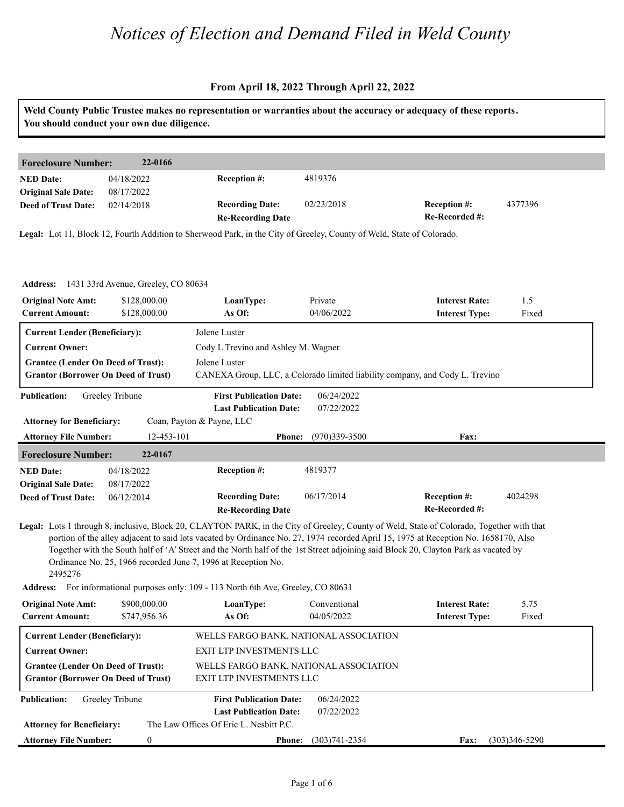### **From April 18, 2022 Through April 22, 2022**

|                                                                                         |                                              | Weld County Public Trustee makes no representation or warranties about the accuracy or adequacy of these reports.                                                                                                                                                                                                                           |                                                                              |                                                |               |
|-----------------------------------------------------------------------------------------|----------------------------------------------|---------------------------------------------------------------------------------------------------------------------------------------------------------------------------------------------------------------------------------------------------------------------------------------------------------------------------------------------|------------------------------------------------------------------------------|------------------------------------------------|---------------|
|                                                                                         | You should conduct your own due diligence.   |                                                                                                                                                                                                                                                                                                                                             |                                                                              |                                                |               |
|                                                                                         |                                              |                                                                                                                                                                                                                                                                                                                                             |                                                                              |                                                |               |
| <b>Foreclosure Number:</b>                                                              | 22-0166                                      |                                                                                                                                                                                                                                                                                                                                             |                                                                              |                                                |               |
| <b>NED Date:</b><br><b>Original Sale Date:</b>                                          | 04/18/2022<br>08/17/2022                     | Reception #:                                                                                                                                                                                                                                                                                                                                | 4819376                                                                      |                                                |               |
| <b>Deed of Trust Date:</b>                                                              | 02/14/2018                                   | <b>Recording Date:</b><br><b>Re-Recording Date</b>                                                                                                                                                                                                                                                                                          | 02/23/2018                                                                   | <b>Reception #:</b><br>Re-Recorded #:          | 4377396       |
|                                                                                         |                                              | Legal: Lot 11, Block 12, Fourth Addition to Sherwood Park, in the City of Greeley, County of Weld, State of Colorado.                                                                                                                                                                                                                       |                                                                              |                                                |               |
|                                                                                         | Address: 1431 33rd Avenue, Greeley, CO 80634 |                                                                                                                                                                                                                                                                                                                                             |                                                                              |                                                |               |
| <b>Original Note Amt:</b>                                                               | \$128,000.00                                 | LoanType:                                                                                                                                                                                                                                                                                                                                   | Private                                                                      | <b>Interest Rate:</b>                          | 1.5           |
| <b>Current Amount:</b>                                                                  | \$128,000.00                                 | As Of:                                                                                                                                                                                                                                                                                                                                      | 04/06/2022                                                                   | <b>Interest Type:</b>                          | Fixed         |
| <b>Current Lender (Beneficiary):</b>                                                    |                                              | Jolene Luster                                                                                                                                                                                                                                                                                                                               |                                                                              |                                                |               |
| <b>Current Owner:</b>                                                                   |                                              | Cody L Trevino and Ashley M. Wagner                                                                                                                                                                                                                                                                                                         |                                                                              |                                                |               |
| <b>Grantee (Lender On Deed of Trust):</b>                                               |                                              | Jolene Luster                                                                                                                                                                                                                                                                                                                               |                                                                              |                                                |               |
| <b>Grantor (Borrower On Deed of Trust)</b>                                              |                                              |                                                                                                                                                                                                                                                                                                                                             | CANEXA Group, LLC, a Colorado limited liability company, and Cody L. Trevino |                                                |               |
| <b>Publication:</b>                                                                     | Greeley Tribune                              | <b>First Publication Date:</b><br><b>Last Publication Date:</b>                                                                                                                                                                                                                                                                             | 06/24/2022<br>07/22/2022                                                     |                                                |               |
| <b>Attorney for Beneficiary:</b>                                                        |                                              | Coan, Payton & Payne, LLC                                                                                                                                                                                                                                                                                                                   |                                                                              |                                                |               |
| <b>Attorney File Number:</b>                                                            | 12-453-101                                   | <b>Phone:</b>                                                                                                                                                                                                                                                                                                                               | (970)339-3500                                                                | Fax:                                           |               |
| <b>Foreclosure Number:</b>                                                              | 22-0167                                      |                                                                                                                                                                                                                                                                                                                                             |                                                                              |                                                |               |
| <b>NED Date:</b>                                                                        | 04/18/2022                                   | Reception #:                                                                                                                                                                                                                                                                                                                                | 4819377                                                                      |                                                |               |
| <b>Original Sale Date:</b>                                                              | 08/17/2022                                   |                                                                                                                                                                                                                                                                                                                                             |                                                                              |                                                |               |
| <b>Deed of Trust Date:</b>                                                              | 06/12/2014                                   | <b>Recording Date:</b><br><b>Re-Recording Date</b>                                                                                                                                                                                                                                                                                          | 06/17/2014                                                                   | Reception #:<br>Re-Recorded #:                 | 4024298       |
|                                                                                         |                                              | Legal: Lots 1 through 8, inclusive, Block 20, CLAYTON PARK, in the City of Greeley, County of Weld, State of Colorado, Together with that                                                                                                                                                                                                   |                                                                              |                                                |               |
| 2495276                                                                                 |                                              | portion of the alley adjacent to said lots vacated by Ordinance No. 27, 1974 recorded April 15, 1975 at Reception No. 1658170, Also<br>Together with the South half of 'A' Street and the North half of the 1st Street adjoining said Block 20, Clayton Park as vacated by<br>Ordinance No. 25, 1966 recorded June 7, 1996 at Reception No. |                                                                              |                                                |               |
|                                                                                         |                                              | Address: For informational purposes only: 109 - 113 North 6th Ave, Greeley, CO 80631                                                                                                                                                                                                                                                        |                                                                              |                                                |               |
| <b>Original Note Amt:</b><br><b>Current Amount:</b>                                     | \$900,000.00<br>\$747,956.36                 | LoanType:<br>As Of:                                                                                                                                                                                                                                                                                                                         | Conventional<br>04/05/2022                                                   | <b>Interest Rate:</b><br><b>Interest Type:</b> | 5.75<br>Fixed |
| <b>Current Lender (Beneficiary):</b>                                                    |                                              |                                                                                                                                                                                                                                                                                                                                             | WELLS FARGO BANK, NATIONAL ASSOCIATION                                       |                                                |               |
| <b>Current Owner:</b>                                                                   |                                              | EXIT LTP INVESTMENTS LLC                                                                                                                                                                                                                                                                                                                    |                                                                              |                                                |               |
|                                                                                         |                                              | EXIT LTP INVESTMENTS LLC                                                                                                                                                                                                                                                                                                                    | WELLS FARGO BANK, NATIONAL ASSOCIATION                                       |                                                |               |
| <b>Grantee (Lender On Deed of Trust):</b><br><b>Grantor (Borrower On Deed of Trust)</b> |                                              |                                                                                                                                                                                                                                                                                                                                             |                                                                              |                                                |               |
| <b>Publication:</b>                                                                     | Greeley Tribune                              | <b>First Publication Date:</b>                                                                                                                                                                                                                                                                                                              | 06/24/2022                                                                   |                                                |               |
|                                                                                         |                                              | <b>Last Publication Date:</b>                                                                                                                                                                                                                                                                                                               | 07/22/2022                                                                   |                                                |               |
| <b>Attorney for Beneficiary:</b>                                                        |                                              | The Law Offices Of Eric L. Nesbitt P.C.                                                                                                                                                                                                                                                                                                     |                                                                              |                                                |               |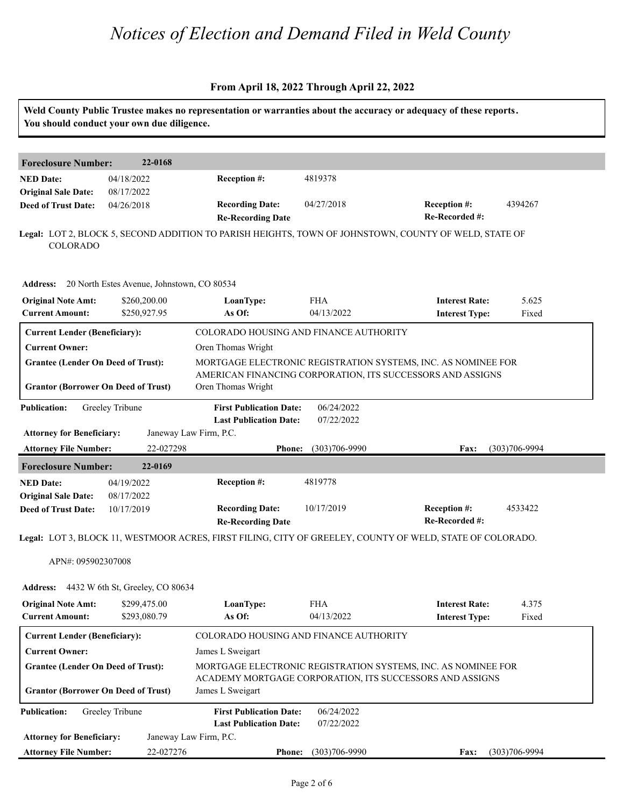### **From April 18, 2022 Through April 22, 2022**

|                                                                  | You should conduct your own due diligence.          |                                                                                                                           |                             | Weld County Public Trustee makes no representation or warranties about the accuracy or adequacy of these reports.           |                   |  |  |
|------------------------------------------------------------------|-----------------------------------------------------|---------------------------------------------------------------------------------------------------------------------------|-----------------------------|-----------------------------------------------------------------------------------------------------------------------------|-------------------|--|--|
| <b>Foreclosure Number:</b>                                       | 22-0168                                             |                                                                                                                           |                             |                                                                                                                             |                   |  |  |
| <b>NED Date:</b><br><b>Original Sale Date:</b>                   | 04/18/2022<br>08/17/2022                            | Reception #:                                                                                                              | 4819378                     |                                                                                                                             |                   |  |  |
| <b>Deed of Trust Date:</b>                                       | 04/26/2018                                          | <b>Recording Date:</b><br><b>Re-Recording Date</b>                                                                        | 04/27/2018                  | Reception #:<br>Re-Recorded #:                                                                                              | 4394267           |  |  |
| COLORADO                                                         |                                                     |                                                                                                                           |                             | Legal: LOT 2, BLOCK 5, SECOND ADDITION TO PARISH HEIGHTS, TOWN OF JOHNSTOWN, COUNTY OF WELD, STATE OF                       |                   |  |  |
|                                                                  | Address: 20 North Estes Avenue, Johnstown, CO 80534 |                                                                                                                           |                             |                                                                                                                             |                   |  |  |
| <b>Original Note Amt:</b><br><b>Current Amount:</b>              | \$260,200.00<br>\$250,927.95                        | LoanType:<br>As Of:                                                                                                       | <b>FHA</b><br>04/13/2022    | <b>Interest Rate:</b><br><b>Interest Type:</b>                                                                              | 5.625<br>Fixed    |  |  |
| <b>Current Lender (Beneficiary):</b>                             |                                                     | COLORADO HOUSING AND FINANCE AUTHORITY                                                                                    |                             |                                                                                                                             |                   |  |  |
| <b>Current Owner:</b>                                            |                                                     | Oren Thomas Wright                                                                                                        |                             |                                                                                                                             |                   |  |  |
| <b>Grantee (Lender On Deed of Trust):</b>                        |                                                     |                                                                                                                           |                             | MORTGAGE ELECTRONIC REGISTRATION SYSTEMS, INC. AS NOMINEE FOR<br>AMERICAN FINANCING CORPORATION, ITS SUCCESSORS AND ASSIGNS |                   |  |  |
| <b>Grantor (Borrower On Deed of Trust)</b>                       |                                                     | Oren Thomas Wright                                                                                                        |                             |                                                                                                                             |                   |  |  |
| <b>Publication:</b>                                              | Greeley Tribune                                     | <b>First Publication Date:</b><br><b>Last Publication Date:</b>                                                           | 06/24/2022<br>07/22/2022    |                                                                                                                             |                   |  |  |
| <b>Attorney for Beneficiary:</b><br><b>Attorney File Number:</b> | 22-027298                                           | Janeway Law Firm, P.C.                                                                                                    | $(303)706 - 9990$           | Fax:                                                                                                                        | $(303)706 - 9994$ |  |  |
| 22-0169                                                          |                                                     | <b>Phone:</b>                                                                                                             |                             |                                                                                                                             |                   |  |  |
| <b>Foreclosure Number:</b><br><b>NED Date:</b>                   | 04/19/2022                                          | Reception #:                                                                                                              | 4819778                     |                                                                                                                             |                   |  |  |
| <b>Original Sale Date:</b>                                       | 08/17/2022                                          |                                                                                                                           |                             |                                                                                                                             |                   |  |  |
| <b>Deed of Trust Date:</b>                                       | 10/17/2019                                          | <b>Recording Date:</b><br><b>Re-Recording Date</b>                                                                        | 10/17/2019                  | <b>Reception #:</b><br>Re-Recorded #:                                                                                       | 4533422           |  |  |
|                                                                  |                                                     |                                                                                                                           |                             | Legal: LOT 3, BLOCK 11, WESTMOOR ACRES, FIRST FILING, CITY OF GREELEY, COUNTY OF WELD, STATE OF COLORADO.                   |                   |  |  |
| APN#: 095902307008                                               |                                                     |                                                                                                                           |                             |                                                                                                                             |                   |  |  |
| <b>Address:</b>                                                  | 4432 W 6th St, Greeley, CO 80634                    |                                                                                                                           |                             |                                                                                                                             |                   |  |  |
| <b>Original Note Amt:</b><br><b>Current Amount:</b>              | \$299,475.00<br>\$293,080.79                        | LoanType:<br>As Of:                                                                                                       | <b>FHA</b><br>04/13/2022    | <b>Interest Rate:</b><br><b>Interest Type:</b>                                                                              | 4.375<br>Fixed    |  |  |
| <b>Current Lender (Beneficiary):</b>                             |                                                     | COLORADO HOUSING AND FINANCE AUTHORITY                                                                                    |                             |                                                                                                                             |                   |  |  |
| <b>Current Owner:</b>                                            |                                                     |                                                                                                                           | James L Sweigart            |                                                                                                                             |                   |  |  |
| <b>Grantee (Lender On Deed of Trust):</b>                        |                                                     | MORTGAGE ELECTRONIC REGISTRATION SYSTEMS, INC. AS NOMINEE FOR<br>ACADEMY MORTGAGE CORPORATION, ITS SUCCESSORS AND ASSIGNS |                             |                                                                                                                             |                   |  |  |
| <b>Grantor (Borrower On Deed of Trust)</b>                       |                                                     | James L Sweigart                                                                                                          |                             |                                                                                                                             |                   |  |  |
| <b>Publication:</b>                                              | Greeley Tribune                                     | <b>First Publication Date:</b><br><b>Last Publication Date:</b>                                                           | 06/24/2022<br>07/22/2022    |                                                                                                                             |                   |  |  |
| <b>Attorney for Beneficiary:</b>                                 |                                                     | Janeway Law Firm, P.C.                                                                                                    |                             |                                                                                                                             |                   |  |  |
| <b>Attorney File Number:</b>                                     | 22-027276                                           |                                                                                                                           | <b>Phone:</b> (303)706-9990 | <b>Fax:</b>                                                                                                                 | $(303)706 - 9994$ |  |  |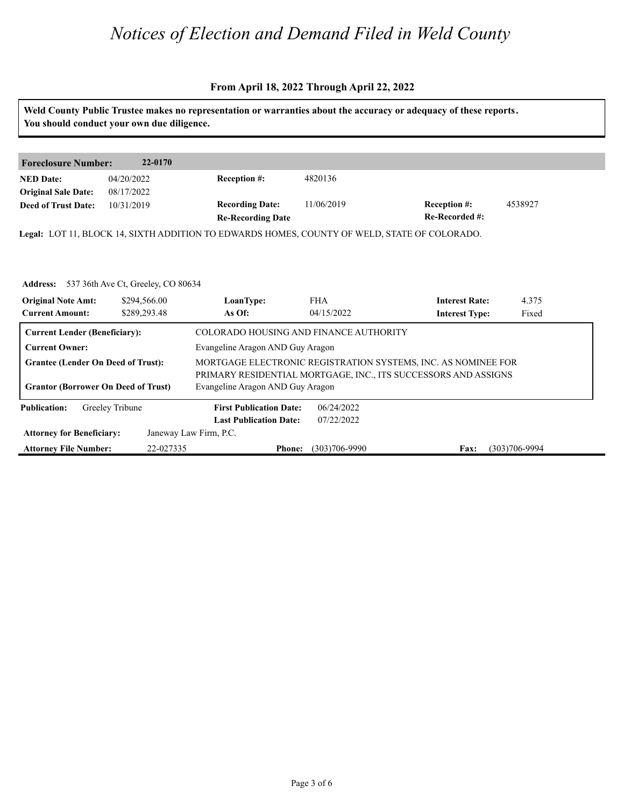#### **From April 18, 2022 Through April 22, 2022**

**Weld County Public Trustee makes no representation or warranties about the accuracy or adequacy of these reports. You should conduct your own due diligence. Foreclosure Number: 22-0170 NED Date: Re-Recorded #:** 11/06/2019 **Reception #:** 4538927 **Re-Recording Date Recording Date: Reception #: Deed of Trust Date:**<br>**Deed of Trust Date: Legal:** LOT 11, BLOCK 14, SIXTH ADDITION TO EDWARDS HOMES, COUNTY OF WELD, STATE OF COLORADO. 04/20/2022 08/17/2022 10/31/2019 4820136 Address: 537 36th Ave Ct, Greeley, CO 80634<br>**Original Note Amt: \$294,566.00** LoanType:<br>Current Amount: \$289,293.48 As Of: **IoanType:** FHA **Interest Rate:** 4.375<br> **As Of:** 04/15/2022 **Interest Type:** Fixed **LoanType:** \$294,566.00 \$289,293.48 FHA **Interest Rate:** 04/15/2022 **Interest Type:** 4.375 Fixed **Current Lender (Beneficiary):** COLORADO HOUSING AND FINANCE AUTHORITY Current Owner: Evangeline Aragon AND Guy Aragon **Grantee (Lender On Deed of Trust):** MORTGAGE ELECTRONIC REGISTRATION SYSTEMS, INC. AS NOMINEE FOR PRIMARY RESIDENTIAL MORTGAGE, INC., ITS SUCCESSORS AND ASSIGNS **Grantor (Borrower On Deed of Trust)** Evangeline Aragon AND Guy Aragon **Publication: Attorney for Beneficiary: Attorney File Number: Last Publication Date: Phone: Fax:** 22-027335 (303)706-9990 (303)706-9994 **First Publication Date:** Janeway Law Firm, P.C. 06/24/2022 07/22/2022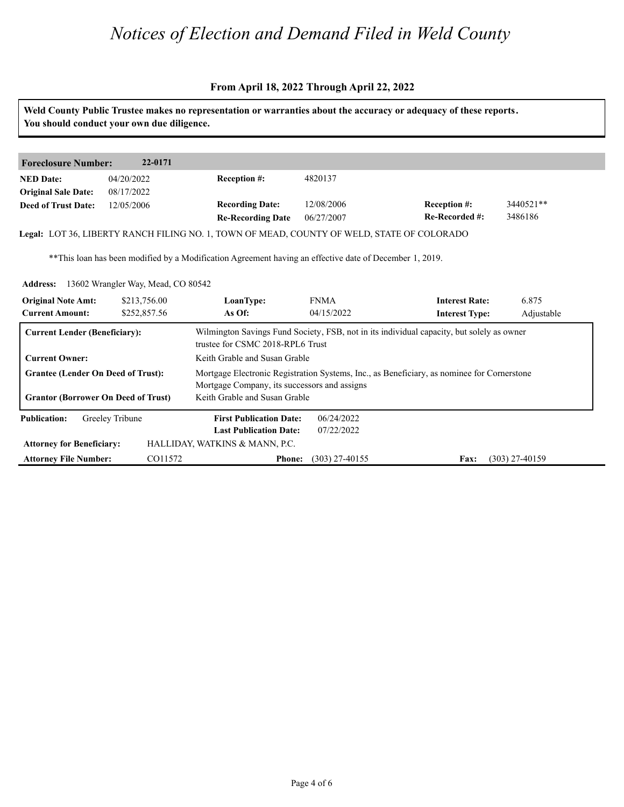#### **From April 18, 2022 Through April 22, 2022**

**Weld County Public Trustee makes no representation or warranties about the accuracy or adequacy of these reports. You should conduct your own due diligence. Foreclosure Number: 22-0171 NED Date: Re-Recorded #: Reception #: Re-Recording Date Recording Date: Reception #: Deed of Trust Date:**<br>**Deed of Trust Date: Legal:** LOT 36, LIBERTY RANCH FILING NO. 1, TOWN OF MEAD, COUNTY OF WELD, STATE OF COLORADO 04/20/2022 08/17/2022 12/05/2006 4820137 12/08/2006 06/27/2007 3440521\*\* 3486186 \*\*This loan has been modified by a Modification Agreement having an effective date of December 1, 2019. Address: 13602 Wrangler Way, Mead, CO 80542<br>**Original Note Amt: 13213,756.00** LoanType:<br>Current Amount: 13252,857.56 As Of: **IoanType:** FNMA **Interest Rate:** 6.875<br> **As Of:** 04/15/2022 **Interest Type:** Adjust **LoanType:** \$213,756.00 \$252,857.56 FNMA **Interest Rate:** 04/15/2022 **Interest Type:** 6.875 Adjustable **Current Lender (Beneficiary):** Wilmington Savings Fund Society, FSB, not in its individual capacity, but solely as owner trustee for CSMC 2018-RPL6 Trust **Current Owner:** Keith Grable and Susan Grable Grantee (Lender On Deed of Trust): Mortgage Electronic Registration Systems, Inc., as Beneficiary, as nominee for Cornerstone Mortgage Company, its successors and assigns **Grantor (Borrower On Deed of Trust)** Keith Grable and Susan Grable **Publication: Attorney for Beneficiary: Attorney File Number: Last Publication Date: Phone:** (303) 27-40155 **Fax:** (303) 27-40159 **First Publication Date:** HALLIDAY, WATKINS & MANN, P.C. 06/24/2022 07/22/2022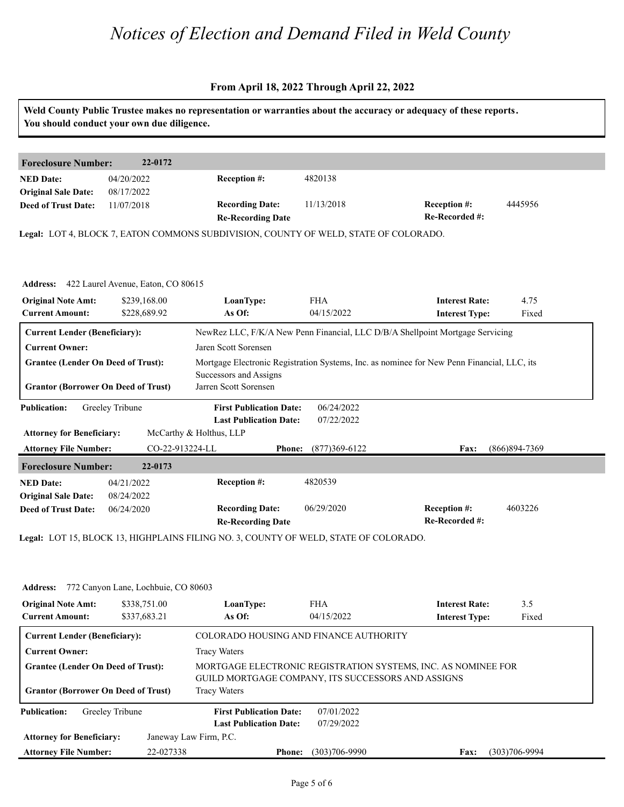#### **From April 18, 2022 Through April 22, 2022**

| Weld County Public Trustee makes no representation or warranties about the accuracy or adequacy of these reports.<br>You should conduct your own due diligence. |                                                             |                                                                                      |                          |                                                                                            |                   |  |  |
|-----------------------------------------------------------------------------------------------------------------------------------------------------------------|-------------------------------------------------------------|--------------------------------------------------------------------------------------|--------------------------|--------------------------------------------------------------------------------------------|-------------------|--|--|
| <b>Foreclosure Number:</b>                                                                                                                                      | 22-0172                                                     |                                                                                      |                          |                                                                                            |                   |  |  |
| <b>NED Date:</b><br><b>Original Sale Date:</b>                                                                                                                  | 04/20/2022<br>08/17/2022                                    | Reception #:                                                                         | 4820138                  |                                                                                            |                   |  |  |
| <b>Deed of Trust Date:</b>                                                                                                                                      | 11/07/2018                                                  | <b>Recording Date:</b><br><b>Re-Recording Date</b>                                   | 11/13/2018               | <b>Reception #:</b><br>Re-Recorded #:                                                      | 4445956           |  |  |
|                                                                                                                                                                 |                                                             | Legal: LOT 4, BLOCK 7, EATON COMMONS SUBDIVISION, COUNTY OF WELD, STATE OF COLORADO. |                          |                                                                                            |                   |  |  |
| <b>Original Note Amt:</b>                                                                                                                                       | Address: 422 Laurel Avenue, Eaton, CO 80615<br>\$239,168.00 | LoanType:                                                                            | <b>FHA</b>               | <b>Interest Rate:</b>                                                                      | 4.75              |  |  |
| <b>Current Amount:</b>                                                                                                                                          | \$228,689.92                                                | As Of:                                                                               | 04/15/2022               | <b>Interest Type:</b>                                                                      | Fixed             |  |  |
| <b>Current Lender (Beneficiary):</b>                                                                                                                            |                                                             |                                                                                      |                          | NewRez LLC, F/K/A New Penn Financial, LLC D/B/A Shellpoint Mortgage Servicing              |                   |  |  |
| <b>Current Owner:</b>                                                                                                                                           |                                                             | Jaren Scott Sorensen                                                                 |                          |                                                                                            |                   |  |  |
| <b>Grantee (Lender On Deed of Trust):</b>                                                                                                                       |                                                             | Successors and Assigns                                                               |                          | Mortgage Electronic Registration Systems, Inc. as nominee for New Penn Financial, LLC, its |                   |  |  |
| <b>Grantor (Borrower On Deed of Trust)</b>                                                                                                                      |                                                             | Jarren Scott Sorensen                                                                |                          |                                                                                            |                   |  |  |
| <b>Publication:</b>                                                                                                                                             | Greeley Tribune                                             | <b>First Publication Date:</b><br><b>Last Publication Date:</b>                      | 06/24/2022<br>07/22/2022 |                                                                                            |                   |  |  |
| <b>Attorney for Beneficiary:</b>                                                                                                                                |                                                             | McCarthy & Holthus, LLP                                                              |                          |                                                                                            |                   |  |  |
| <b>Attorney File Number:</b>                                                                                                                                    | CO-22-913224-LL                                             | <b>Phone:</b>                                                                        | $(877)369 - 6122$        | Fax:                                                                                       | $(866)894 - 7369$ |  |  |
| <b>Foreclosure Number:</b>                                                                                                                                      | 22-0173                                                     |                                                                                      |                          |                                                                                            |                   |  |  |
| <b>NED Date:</b>                                                                                                                                                | 04/21/2022                                                  | <b>Reception #:</b>                                                                  | 4820539                  |                                                                                            |                   |  |  |
| <b>Original Sale Date:</b><br><b>Deed of Trust Date:</b>                                                                                                        | 08/24/2022<br>06/24/2020                                    | <b>Recording Date:</b><br><b>Re-Recording Date</b>                                   | 06/29/2020               | Reception #:<br>Re-Recorded #:                                                             | 4603226           |  |  |
|                                                                                                                                                                 |                                                             | Legal: LOT 15, BLOCK 13, HIGHPLAINS FILING NO. 3, COUNTY OF WELD, STATE OF COLORADO. |                          |                                                                                            |                   |  |  |
|                                                                                                                                                                 |                                                             |                                                                                      |                          |                                                                                            |                   |  |  |

#### **Address: 772 Canyon Lane, Lochbuie, CO 80603<br><b>Original Note Amt:** 8338,751.00 **LoanType: <br>Current Amount: 8337,683.21 As Of: IoanType:** FHA **Interest Rate:** 3.5<br> **As Of:** 04/15/2022 **Interest Type:** Fixed **LoanType:** \$338,751.00 \$337,683.21 **Interest Rate:** 04/15/2022 **Interest Type:** 3.5 Fixed **Current Lender (Beneficiary):** COLORADO HOUSING AND FINANCE AUTHORITY **Current Owner:** Tracy Waters **Grantee (Lender On Deed of Trust):** MORTGAGE ELECTRONIC REGISTRATION SYSTEMS, INC. AS NOMINEE FOR GUILD MORTGAGE COMPANY, ITS SUCCESSORS AND ASSIGNS **Grantor (Borrower On Deed of Trust)** Tracy Waters **Publication: Attorney for Beneficiary: Attorney File Number: Last Publication Date: Phone: Fax:** 22-027338 (303)706-9990 (303)706-9994 **First Publication Date:** Janeway Law Firm, P.C. 07/01/2022 07/29/2022